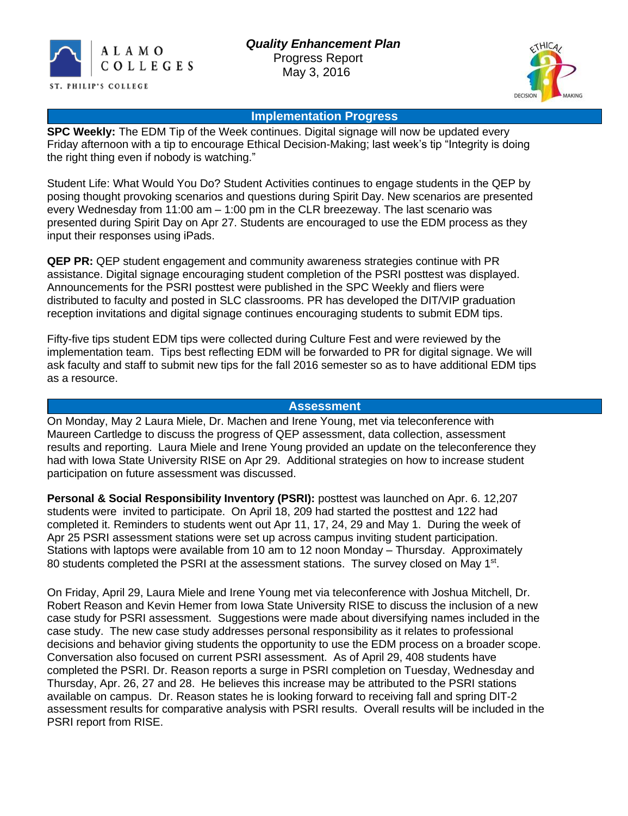



# **Implementation Progress**

**SPC Weekly:** The EDM Tip of the Week continues. Digital signage will now be updated every Friday afternoon with a tip to encourage Ethical Decision-Making; last week's tip "Integrity is doing the right thing even if nobody is watching."

Student Life: What Would You Do? Student Activities continues to engage students in the QEP by posing thought provoking scenarios and questions during Spirit Day. New scenarios are presented every Wednesday from 11:00 am – 1:00 pm in the CLR breezeway. The last scenario was presented during Spirit Day on Apr 27. Students are encouraged to use the EDM process as they input their responses using iPads.

**QEP PR:** QEP student engagement and community awareness strategies continue with PR assistance. Digital signage encouraging student completion of the PSRI posttest was displayed. Announcements for the PSRI posttest were published in the SPC Weekly and fliers were distributed to faculty and posted in SLC classrooms. PR has developed the DIT/VIP graduation reception invitations and digital signage continues encouraging students to submit EDM tips.

Fifty-five tips student EDM tips were collected during Culture Fest and were reviewed by the implementation team. Tips best reflecting EDM will be forwarded to PR for digital signage. We will ask faculty and staff to submit new tips for the fall 2016 semester so as to have additional EDM tips as a resource.

#### **Assessment**

On Monday, May 2 Laura Miele, Dr. Machen and Irene Young, met via teleconference with Maureen Cartledge to discuss the progress of QEP assessment, data collection, assessment results and reporting. Laura Miele and Irene Young provided an update on the teleconference they had with Iowa State University RISE on Apr 29. Additional strategies on how to increase student participation on future assessment was discussed.

**Personal & Social Responsibility Inventory (PSRI):** posttest was launched on Apr. 6. 12,207 students were invited to participate. On April 18, 209 had started the posttest and 122 had completed it. Reminders to students went out Apr 11, 17, 24, 29 and May 1. During the week of Apr 25 PSRI assessment stations were set up across campus inviting student participation. Stations with laptops were available from 10 am to 12 noon Monday – Thursday. Approximately 80 students completed the PSRI at the assessment stations. The survey closed on May 1<sup>st</sup>.

On Friday, April 29, Laura Miele and Irene Young met via teleconference with Joshua Mitchell, Dr. Robert Reason and Kevin Hemer from Iowa State University RISE to discuss the inclusion of a new case study for PSRI assessment. Suggestions were made about diversifying names included in the case study. The new case study addresses personal responsibility as it relates to professional decisions and behavior giving students the opportunity to use the EDM process on a broader scope. Conversation also focused on current PSRI assessment. As of April 29, 408 students have completed the PSRI. Dr. Reason reports a surge in PSRI completion on Tuesday, Wednesday and Thursday, Apr. 26, 27 and 28. He believes this increase may be attributed to the PSRI stations available on campus. Dr. Reason states he is looking forward to receiving fall and spring DIT-2 assessment results for comparative analysis with PSRI results. Overall results will be included in the PSRI report from RISE.